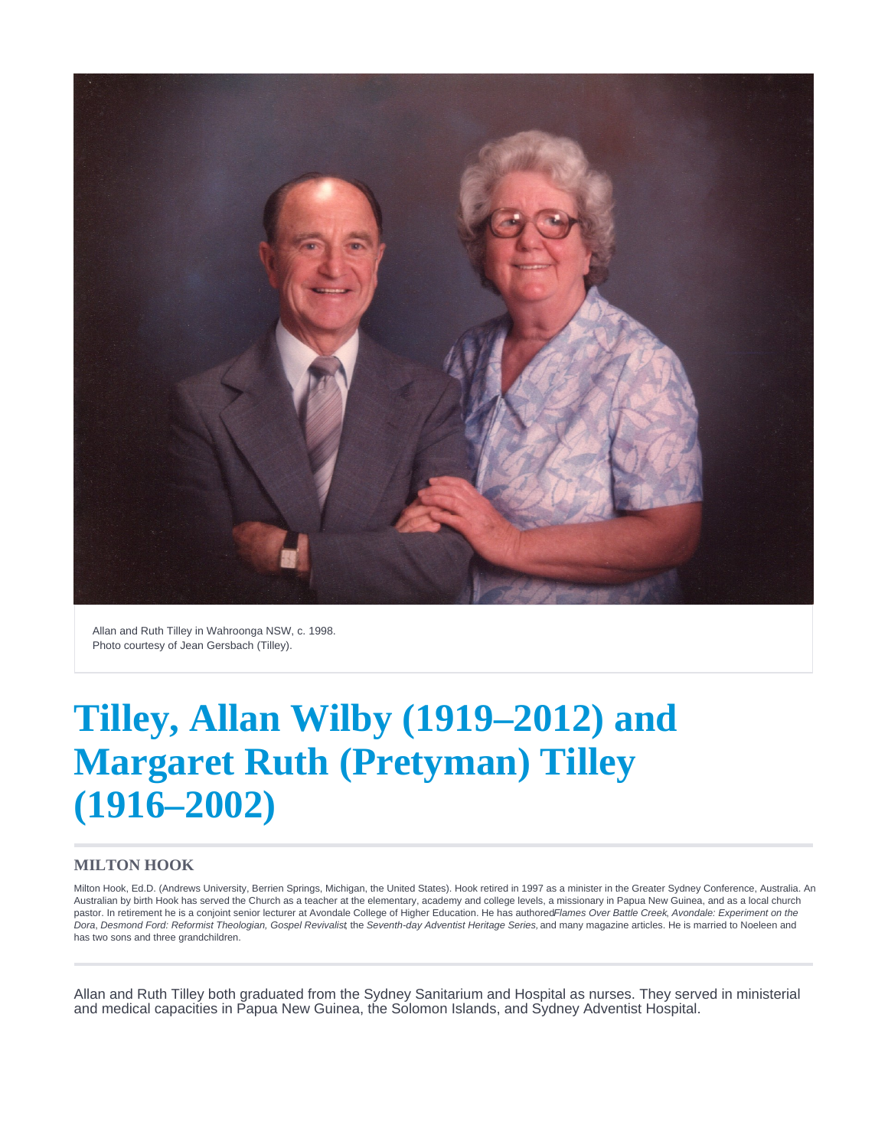

Allan and Ruth Tilley in Wahroonga NSW, c. 1998. Photo courtesy of Jean Gersbach (Tilley).

# **Tilley, Allan Wilby (1919–2012) and Margaret Ruth (Pretyman) Tilley (1916–2002)**

#### **MILTON HOOK**

Milton Hook, Ed.D. (Andrews University, Berrien Springs, Michigan, the United States). Hook retired in 1997 as a minister in the Greater Sydney Conference, Australia. An Australian by birth Hook has served the Church as a teacher at the elementary, academy and college levels, a missionary in Papua New Guinea, and as a local church pastor. In retirement he is a conjoint senior lecturer at Avondale College of Higher Education. He has authored Flames Over Battle Creek, Avondale: Experiment on the Dora, Desmond Ford: Reformist Theologian, Gospel Revivalist the Seventh-day Adventist Heritage Series, and many magazine articles. He is married to Noeleen and has two sons and three grandchildren.

Allan and Ruth Tilley both graduated from the Sydney Sanitarium and Hospital as nurses. They served in ministerial and medical capacities in Papua New Guinea, the Solomon Islands, and Sydney Adventist Hospital.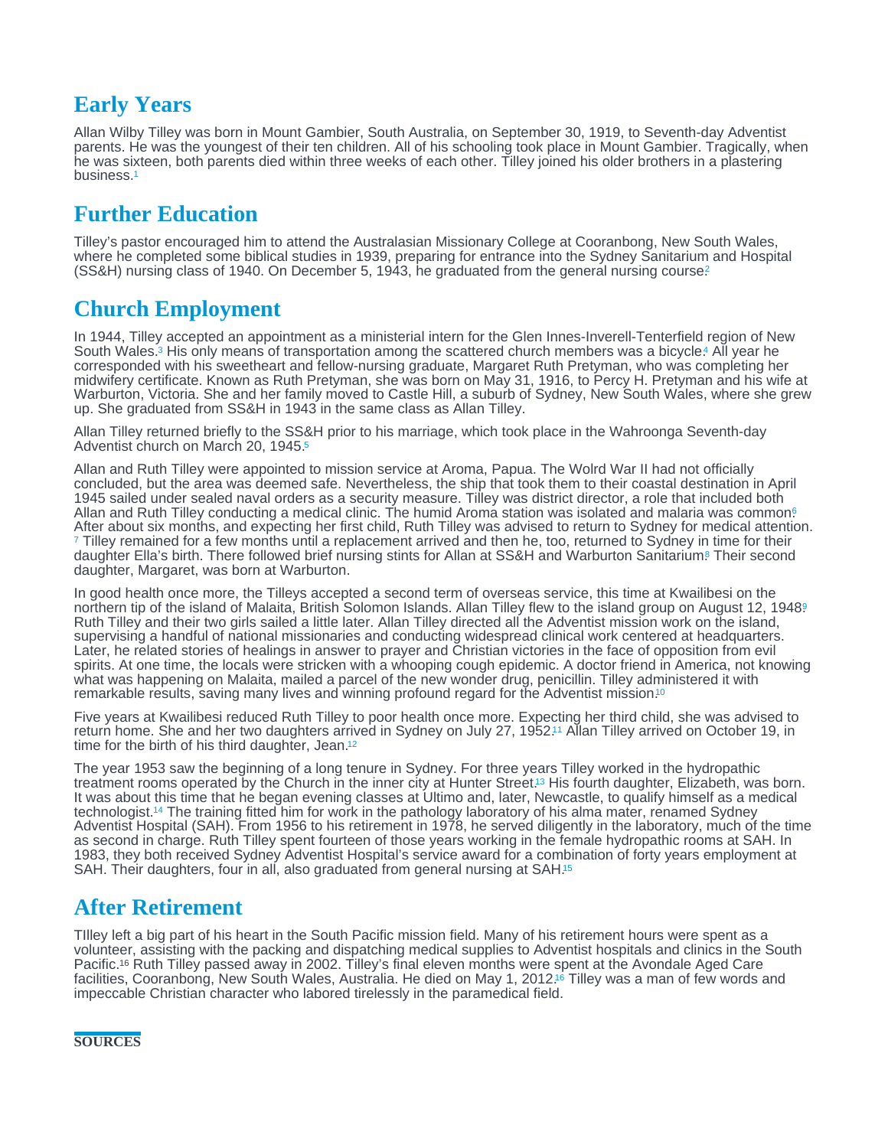# <span id="page-1-0"></span>Early Years

Allan Wilby Tilley was born in Mount Gambier, South Australia, on September 30, 1919, to Seventh-day Adventist parents. He was the youngest of their ten children. All of his schooling took place in Mount Gambier. Tragically, when he was sixteen, both parents died within three weeks of each other. Tilley joined his older brothers in a plastering business.[1](#page-2-0)

# Further Education

Tilley's pastor encouraged him to attend the Australasian Missionary College at Cooranbong, New South Wales, where he completed some biblical studies in 1939, preparing for entrance into the Sydney Sanitarium and Hospital  $(SSAH)$  nursing class of 1940. On December 5, 1943, he graduated from the general nursing course?

# Church Employment

In 1944, Tilley accepted an appointment as a ministerial intern for the Glen Innes-Inverell-Tenterfield region of New South Wales[.](#page-2-0)<sup>3</sup> His only means of transportation among the scattered church members was a bicycle.<sup>4</sup> All year he corresponded with his sweetheart and fellow-nursing graduate, Margaret Ruth Pretyman, who was completing her midwifery certificate. Known as Ruth Pretyman, she was born on May 31, 1916, to Percy H. Pretyman and his wife at Warburton, Victoria. She and her family moved to Castle Hill, a suburb of Sydney, New South Wales, where she grew up. She graduated from SS&H in 1943 in the same class as Allan Tilley.

Allan Tilley returned briefly to the SS&H prior to his marriage, which took place in the Wahroonga Seventh-day Adventist church on March 20, 1945.[5](#page-2-0)

Allan and Ruth Tilley were appointed to mission service at Aroma, Papua. The Wolrd War II had not officially concluded, but the area was deemed safe. Nevertheless, the ship that took them to their coastal destination in April 1945 sailed under sealed naval orders as a security measure. Tilley was district director, a role that included both Allan and Ruth Tilley conducting a medical clinic. The humid Aroma station was isolated and malaria was common. After about six months, and expecting her first child, Ruth Tilley was advised to return to Sydney for medical attention.  $\tau$  Tilley remained for a few months until a replacement arrived and then he, too, returned to Sydney in time for their daughter Ella's birth[.](#page-2-0) There followed brief nursing stints for Allan at SS&H and Warburton Sanitarium® Their second daughter, Margaret, was born at Warburton.

In good health once more, the Tilleys accepted a second term of overseas service, this time at Kwailibesi on the northern tip of the island of Malaita, British Solomon Islands. Allan Tilley flew to the island group on August 12, 1[9](#page-2-0)48? Ruth Tilley and their two girls sailed a little later. Allan Tilley directed all the Adventist mission work on the island, supervising a handful of national missionaries and conducting widespread clinical work centered at headquarters. Later, he related stories of healings in answer to prayer and Christian victories in the face of opposition from evil spirits. At one time, the locals were stricken with a whooping cough epidemic. A doctor friend in America, not knowing what was happening on Malaita, mailed a parcel of the new wonder drug, penicillin. Tilley administered it with remarkable results, saving many lives and winning profound regard for the Adventist mission.<sup>[10](#page-2-0)</sup>

Five years at Kwailibesi reduced Ruth Tilley to poor health once more. Expecting her third child, she was advised to return home[.](#page-2-0) She and her two daughters arrived in Sydney on July 27, 1952.11 Allan Tilley arrived on October 19, in time for the birth of his third daughter, Jean.<sup>[12](#page-2-0)</sup>

The year 1953 saw the beginning of a long tenure in Sydney. For three years Tilley worked in the hydropathic treatment rooms operated by the Church in the inner city at Hunter Street.<sup>13</sup> His fourth daughter, Elizabeth, was born. It was about this time that he began evening classes at Ultimo and, later, Newcastle, to qualify himself as a medical technologist[.](#page-2-0)<sup>14</sup> The training fitted him for work in the pathology laboratory of his alma mater, renamed Sydney Adventist Hospital (SAH). From 1956 to his retirement in 1978, he served diligently in the laboratory, much of the time as second in charge. Ruth Tilley spent fourteen of those years working in the female hydropathic rooms at SAH. In 1983, they both received Sydney Adventist Hospital's service award for a combination of forty years employment at SAH. Their daughters, four in all, also graduated from general nursing at SAH.<sup>[15](#page-2-0)</sup>

### After Retirement

TIlley left a big part of his heart in the South Pacific mission field. Many of his retirement hours were spent as a volunteer, assisting with the packing and dispatching medical supplies to Adventist hospitals and clinics in the South Pacific.<sup>16</sup> Ruth Tilley passed away in 2002. Tilley's final eleven months were spent at the Avondale Aged Care facilities, Cooranbong, New South Wales, Australia[.](#page-2-0) He died on May 1, 2012.<sup>ts</sup> Tilley was a man of few words and impeccable Christian character who labored tirelessly in the paramedical field.